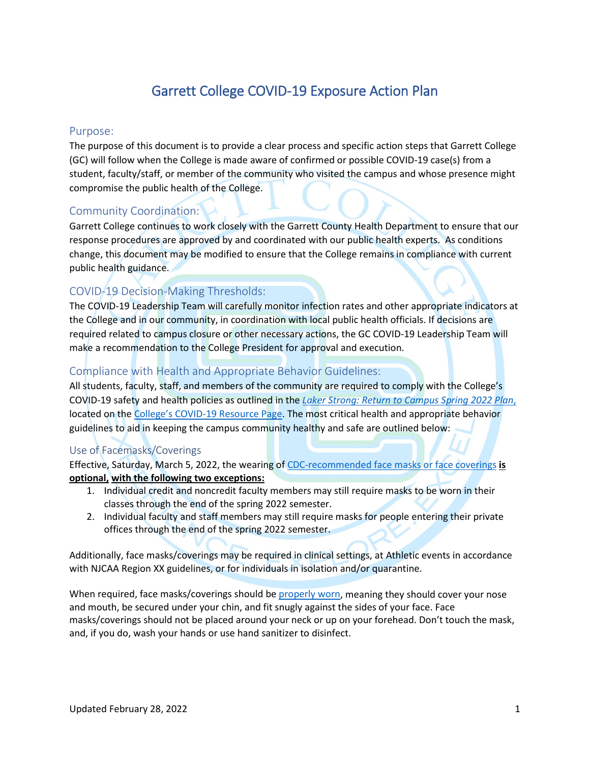# Garrett College COVID-19 Exposure Action Plan

# Purpose:

The purpose of this document is to provide a clear process and specific action steps that Garrett College (GC) will follow when the College is made aware of confirmed or possible COVID-19 case(s) from a student, faculty/staff, or member of the community who visited the campus and whose presence might compromise the public health of the College.

# Community Coordination:

Garrett College continues to work closely with the Garrett County Health Department to ensure that our response procedures are approved by and coordinated with our public health experts. As conditions change, this document may be modified to ensure that the College remains in compliance with current public health guidance.

# COVID-19 Decision-Making Thresholds:

The COVID-19 Leadership Team will carefully monitor infection rates and other appropriate indicators at the College and in our community, in coordination with local public health officials. If decisions are required related to campus closure or other necessary actions, the GC COVID-19 Leadership Team will make a recommendation to the College President for approval and execution.

# Compliance with Health and Appropriate Behavior Guidelines:

All students, faculty, staff, and members of the community are required to comply with the College's COVID-19 safety and health policies as outlined in the *[Laker Strong: Return to Campus](https://my.garrettcollege.edu/ICS/icsfs/FINAL_Laker_Strong_S2022_With_Mask_Mandate_updated.pdf?target=5a2a55e3-d281-4564-ace6-8c6c45e29a0d) Spring 2022 Plan*, located on the [College's COVID-19 Resource Page.](https://www.garrettcollege.edu/corona-virus.php) The most critical health and appropriate behavior guidelines to aid in keeping the campus community healthy and safe are outlined below:

# Use of Facemasks/Coverings

Effective, Saturday, March 5, 2022, the wearing of [CDC-recommended face masks or face coverings](https://www.cdc.gov/coronavirus/2019-ncov/prevent-getting-sick/cloth-face-cover-guidance.html) **is optional, with the following two exceptions:**

- 1. Individual credit and noncredit faculty members may still require masks to be worn in their classes through the end of the spring 2022 semester.
- 2. Individual faculty and staff members may still require masks for people entering their private offices through the end of the spring 2022 semester.

Additionally, face masks/coverings may be required in clinical settings, at Athletic events in accordance with NJCAA Region XX guidelines, or for individuals in isolation and/or quarantine.

When required, face masks/coverings should b[e properly worn,](https://www.cdc.gov/coronavirus/2019-ncov/prevent-getting-sick/how-to-wear-cloth-face-coverings.html) meaning they should cover your nose and mouth, be secured under your chin, and fit snugly against the sides of your face. Face masks/coverings should not be placed around your neck or up on your forehead. Don't touch the mask, and, if you do, wash your hands or use hand sanitizer to disinfect.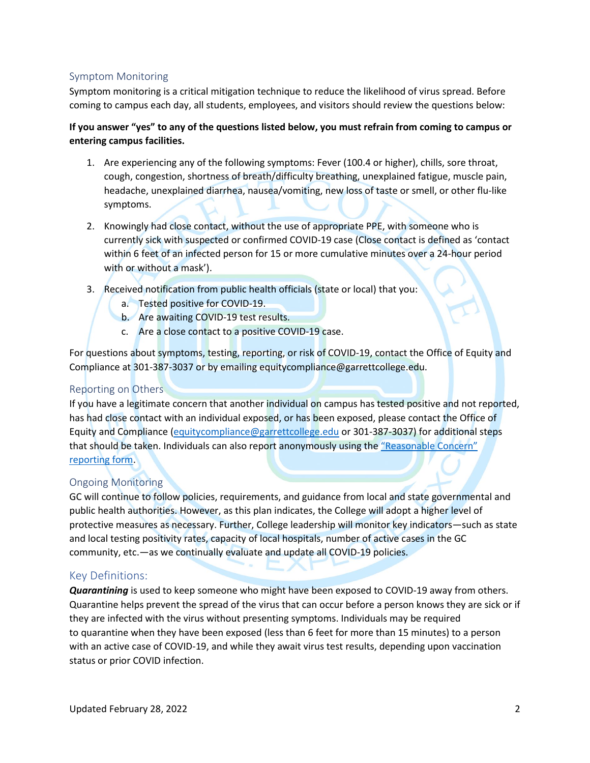# Symptom Monitoring

Symptom monitoring is a critical mitigation technique to reduce the likelihood of virus spread. Before coming to campus each day, all students, employees, and visitors should review the questions below:

# **If you answer "yes" to any of the questions listed below, you must refrain from coming to campus or entering campus facilities.**

- 1. Are experiencing any of the following symptoms: Fever (100.4 or higher), chills, sore throat, cough, congestion, shortness of breath/difficulty breathing, unexplained fatigue, muscle pain, headache, unexplained diarrhea, nausea/vomiting, new loss of taste or smell, or other flu-like symptoms.
- 2. Knowingly had close contact, without the use of appropriate PPE, with someone who is currently sick with suspected or confirmed COVID-19 case (Close contact is defined as 'contact within 6 feet of an infected person for 15 or more cumulative minutes over a 24-hour period with or without a mask').
- 3. Received notification from public health officials (state or local) that you:
	- a. Tested positive for COVID-19.
	- b. Are awaiting COVID-19 test results.
	- c. Are a close contact to a positive COVID-19 case.

For questions about symptoms, testing, reporting, or risk of COVID-19, contact the Office of Equity and Compliance at 301-387-3037 or by emailing equitycompliance@garrettcollege.edu.

# Reporting on Others

If you have a legitimate concern that another individual on campus has tested positive and not reported, has had close contact with an individual exposed, or has been exposed, please contact the Office of Equity and Compliance [\(equitycompliance@garrettcollege.edu](mailto:equitycompliance@garrettcollege.edu) or 301-387-3037) for additional steps that should be taken. Individuals can also report anonymously using the ["Reasonable Concern"](https://www.garrettcollege.edu/form-reasonable-concern.php)  [reporting form.](https://www.garrettcollege.edu/form-reasonable-concern.php)

# Ongoing Monitoring

GC will continue to follow policies, requirements, and guidance from local and state governmental and public health authorities. However, as this plan indicates, the College will adopt a higher level of protective measures as necessary. Further, College leadership will monitor key indicators—such as state and local testing positivity rates, capacity of local hospitals, number of active cases in the GC community, etc.—as we continually evaluate and update all COVID-19 policies.

## Key Definitions:

*Quarantining* is used to keep someone who might have been exposed to COVID-19 away from others. Quarantine helps prevent the spread of the virus that can occur before a person knows they are sick or if they are infected with the virus without presenting symptoms. Individuals may be required to quarantine when they have been exposed (less than 6 feet for more than 15 minutes) to a person with an active case of COVID-19, and while they await virus test results, depending upon vaccination status or prior COVID infection.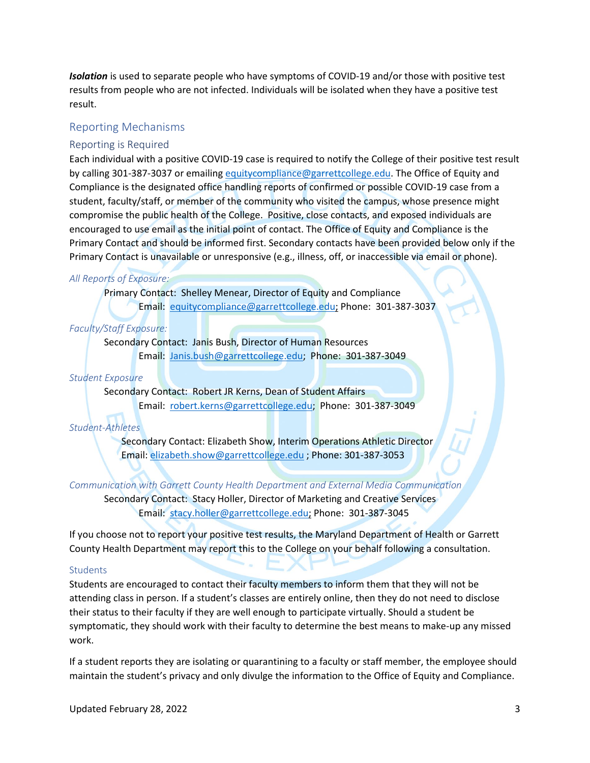*Isolation* is used to separate people who have symptoms of COVID-19 and/or those with positive test results from people who are not infected. Individuals will be isolated when they have a positive test result.

## Reporting Mechanisms

#### Reporting is Required

Each individual with a positive COVID-19 case is required to notify the College of their positive test result by calling 301-387-3037 or emailing [equitycompliance@garrettcollege.edu.](mailto:equitycompliance@garrettcollege.edu) The Office of Equity and Compliance is the designated office handling reports of confirmed or possible COVID-19 case from a student, faculty/staff, or member of the community who visited the campus, whose presence might compromise the public health of the College. Positive, close contacts, and exposed individuals are encouraged to use email as the initial point of contact. The Office of Equity and Compliance is the Primary Contact and should be informed first. Secondary contacts have been provided below only if the Primary Contact is unavailable or unresponsive (e.g., illness, off, or inaccessible via email or phone).

#### *All Reports of Exposure:*

Primary Contact: Shelley Menear, Director of Equity and Compliance Email: [equitycompliance@garrettcollege.edu;](mailto:equitycompliance@garrettcollege.edu) Phone: 301-387-3037

#### *Faculty/Staff Exposure:*

Secondary Contact: Janis Bush, Director of Human Resources Email: [Janis.bush@garrettcollege.edu;](mailto:Janis.bush@garrettcollege.edu) Phone: 301-387-3049

## *Student Exposure*

Secondary Contact: Robert JR Kerns, Dean of Student Affairs Email: [robert.kerns@garrettcollege.edu;](mailto:robert.kerns@garrettcollege.edu) Phone: 301-387-3049

#### *Student-Athletes*

Secondary Contact: Elizabeth Show, Interim Operations Athletic Director Email: [elizabeth.show@garrettcollege.edu](mailto:elizabeth.show@garrettcollege.edu) ; Phone: 301-387-3053

*Communication with Garrett County Health Department and External Media Communication*

Secondary Contact: Stacy Holler, Director of Marketing and Creative Services Email: [stacy.holler@garrettcollege.edu;](mailto:stacy.holler@garrettcollege.edu) Phone: 301-387-3045

If you choose not to report your positive test results, the Maryland Department of Health or Garrett County Health Department may report this to the College on your behalf following a consultation.

#### **Students**

Students are encouraged to contact their faculty members to inform them that they will not be attending class in person. If a student's classes are entirely online, then they do not need to disclose their status to their faculty if they are well enough to participate virtually. Should a student be symptomatic, they should work with their faculty to determine the best means to make-up any missed work.

If a student reports they are isolating or quarantining to a faculty or staff member, the employee should maintain the student's privacy and only divulge the information to the Office of Equity and Compliance.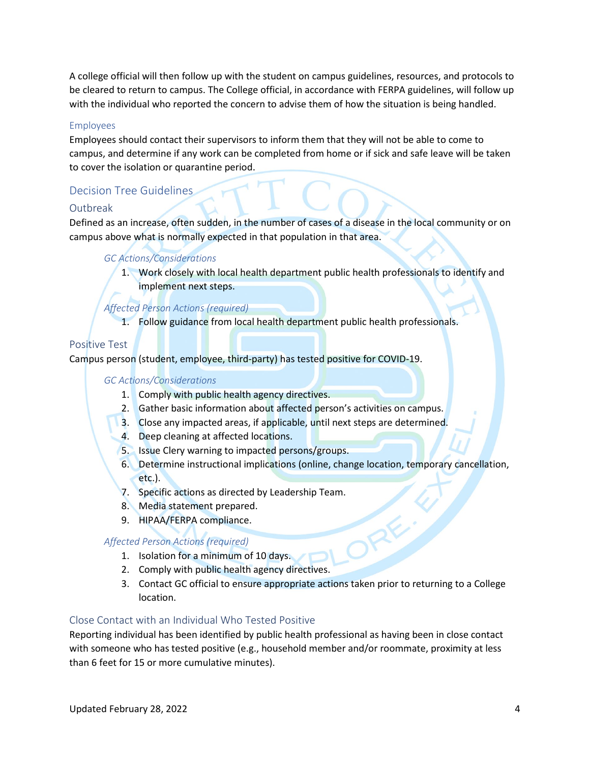A college official will then follow up with the student on campus guidelines, resources, and protocols to be cleared to return to campus. The College official, in accordance with FERPA guidelines, will follow up with the individual who reported the concern to advise them of how the situation is being handled.

#### Employees

Employees should contact their supervisors to inform them that they will not be able to come to campus, and determine if any work can be completed from home or if sick and safe leave will be taken to cover the isolation or quarantine period.

# Decision Tree Guidelines

## Outbreak

Defined as an increase, often sudden, in the number of cases of a disease in the local community or on campus above what is normally expected in that population in that area.

## *GC Actions/Considerations*

1. Work closely with local health department public health professionals to identify and implement next steps.

## *Affected Person Actions (required)*

1. Follow guidance from local health department public health professionals.

# Positive Test

Campus person (student, employee, third-party) has tested positive for COVID-19.

#### *GC Actions/Considerations*

- 1. Comply with public health agency directives.
- 2. Gather basic information about affected person's activities on campus.
- 3. Close any impacted areas, if applicable, until next steps are determined.
- 4. Deep cleaning at affected locations.
- 5. Issue Clery warning to impacted persons/groups.
- 6. Determine instructional implications (online, change location, temporary cancellation, etc.).

AF

- 7. Specific actions as directed by Leadership Team.
- 8. Media statement prepared.
- 9. HIPAA/FERPA compliance.

## *Affected Person Actions (required)*

- 1. Isolation for a minimum of 10 days.
- 2. Comply with public health agency directives.
- 3. Contact GC official to ensure appropriate actions taken prior to returning to a College location.

## Close Contact with an Individual Who Tested Positive

Reporting individual has been identified by public health professional as having been in close contact with someone who has tested positive (e.g., household member and/or roommate, proximity at less than 6 feet for 15 or more cumulative minutes).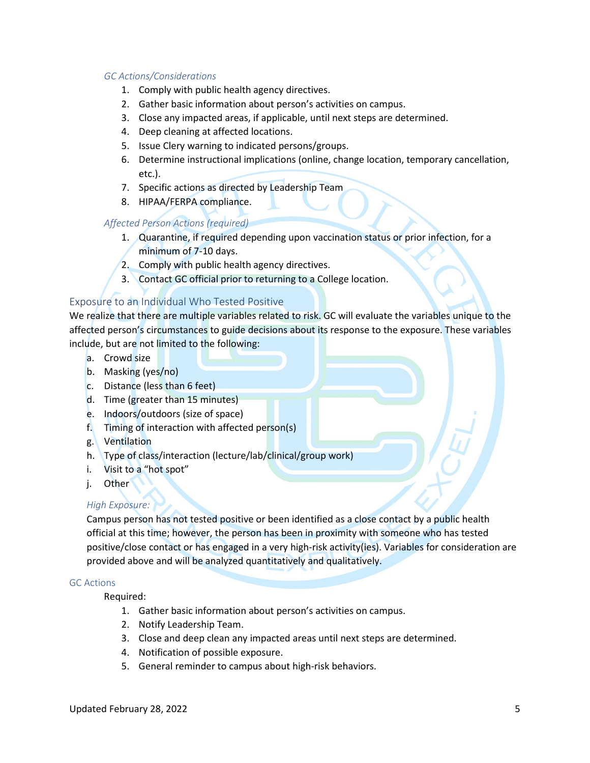#### *GC Actions/Considerations*

- 1. Comply with public health agency directives.
- 2. Gather basic information about person's activities on campus.
- 3. Close any impacted areas, if applicable, until next steps are determined.
- 4. Deep cleaning at affected locations.
- 5. Issue Clery warning to indicated persons/groups.
- 6. Determine instructional implications (online, change location, temporary cancellation, etc.).
- 7. Specific actions as directed by Leadership Team
- 8. HIPAA/FERPA compliance.

## *Affected Person Actions (required)*

- 1. Quarantine, if required depending upon vaccination status or prior infection, for a minimum of 7-10 days.
- 2. Comply with public health agency directives.
- 3. Contact GC official prior to returning to a College location.

## Exposure to an Individual Who Tested Positive

We realize that there are multiple variables related to risk. GC will evaluate the variables unique to the affected person's circumstances to guide decisions about its response to the exposure. These variables include, but are not limited to the following:

- a. Crowd size
- b. Masking (yes/no)
- c. Distance (less than 6 feet)
- d. Time (greater than 15 minutes)
- e. Indoors/outdoors (size of space)
- f. Timing of interaction with affected person(s)
- g. Ventilation
- h. Type of class/interaction (lecture/lab/clinical/group work)
- i. Visit to a "hot spot"
- j. Other

#### *High Exposure:*

Campus person has not tested positive or been identified as a close contact by a public health official at this time; however, the person has been in proximity with someone who has tested positive/close contact or has engaged in a very high-risk activity(ies). Variables for consideration are provided above and will be analyzed quantitatively and qualitatively.

#### GC Actions

Required:

- 1. Gather basic information about person's activities on campus.
- 2. Notify Leadership Team.
- 3. Close and deep clean any impacted areas until next steps are determined.
- 4. Notification of possible exposure.
- 5. General reminder to campus about high-risk behaviors.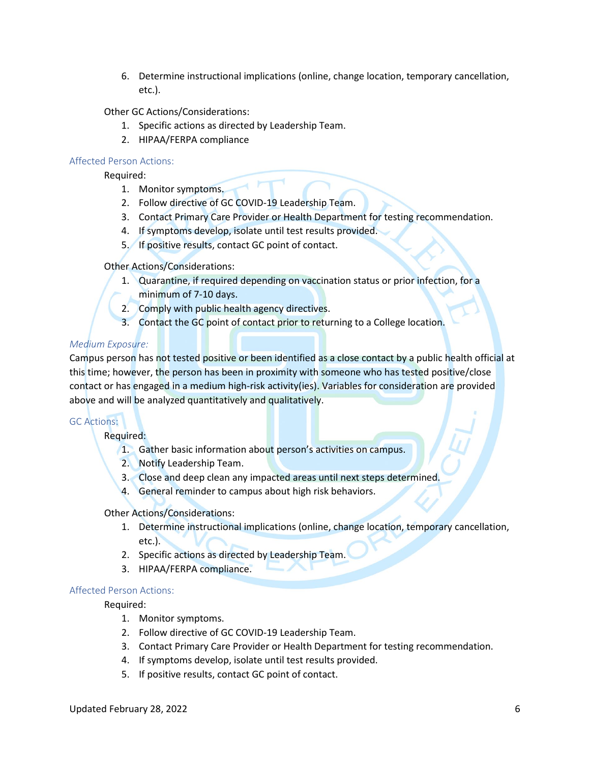6. Determine instructional implications (online, change location, temporary cancellation, etc.).

Other GC Actions/Considerations:

- 1. Specific actions as directed by Leadership Team.
- 2. HIPAA/FERPA compliance

#### Affected Person Actions:

Required:

- 1. Monitor symptoms.
- 2. Follow directive of GC COVID-19 Leadership Team.
- 3. Contact Primary Care Provider or Health Department for testing recommendation.
- 4. If symptoms develop, isolate until test results provided.
- 5. If positive results, contact GC point of contact.

#### Other Actions/Considerations:

- 1. Quarantine, if required depending on vaccination status or prior infection, for a minimum of 7-10 days.
- 2. Comply with public health agency directives.
- 3. Contact the GC point of contact prior to returning to a College location.

## *Medium Exposure:*

Campus person has not tested positive or been identified as a close contact by a public health official at this time; however, the person has been in proximity with someone who has tested positive/close contact or has engaged in a medium high-risk activity(ies). Variables for consideration are provided above and will be analyzed quantitatively and qualitatively.

#### GC Actions:

Required:

- 1. Gather basic information about person's activities on campus.
- 2. Notify Leadership Team.
- 3. Close and deep clean any impacted areas until next steps determined.
- 4. General reminder to campus about high risk behaviors.

#### Other Actions/Considerations:

- 1. Determine instructional implications (online, change location, temporary cancellation, etc.).
- 2. Specific actions as directed by Leadership Team.
- 3. HIPAA/FERPA compliance.

#### Affected Person Actions:

Required:

- 1. Monitor symptoms.
- 2. Follow directive of GC COVID-19 Leadership Team.
- 3. Contact Primary Care Provider or Health Department for testing recommendation.
- 4. If symptoms develop, isolate until test results provided.
- 5. If positive results, contact GC point of contact.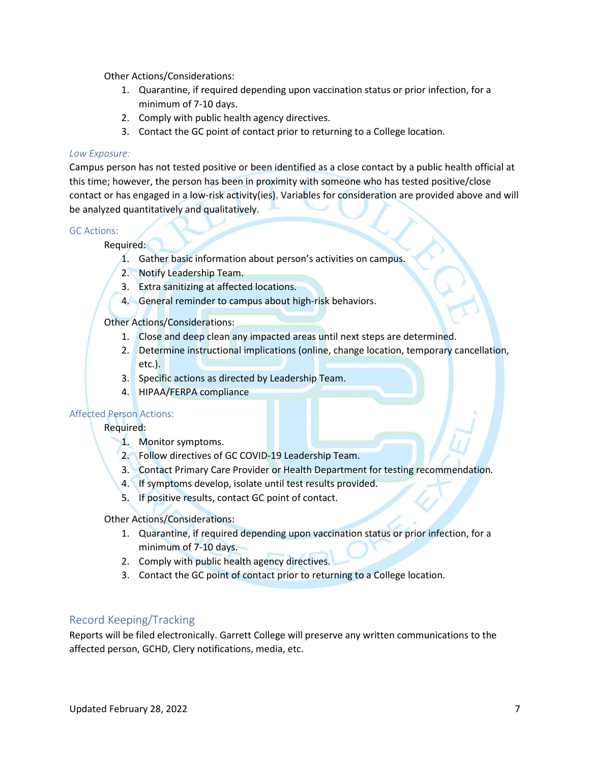Other Actions/Considerations:

- 1. Quarantine, if required depending upon vaccination status or prior infection, for a minimum of 7-10 days.
- 2. Comply with public health agency directives.
- 3. Contact the GC point of contact prior to returning to a College location.

#### *Low Exposure:*

Campus person has not tested positive or been identified as a close contact by a public health official at this time; however, the person has been in proximity with someone who has tested positive/close contact or has engaged in a low-risk activity(ies). Variables for consideration are provided above and will be analyzed quantitatively and qualitatively.

#### GC Actions:

Required:

- 1. Gather basic information about person's activities on campus.
- 2. Notify Leadership Team.
- 3. Extra sanitizing at affected locations.
- 4. General reminder to campus about high-risk behaviors.

Other Actions/Considerations:

- 1. Close and deep clean any impacted areas until next steps are determined.
- 2. Determine instructional implications (online, change location, temporary cancellation, etc.).
- 3. Specific actions as directed by Leadership Team.
- 4. HIPAA/FERPA compliance

## Affected Person Actions:

Required:

- 1. Monitor symptoms.
- 2. Follow directives of GC COVID-19 Leadership Team.
- 3. Contact Primary Care Provider or Health Department for testing recommendation.
- 4. If symptoms develop, isolate until test results provided.
- 5. If positive results, contact GC point of contact.

Other Actions/Considerations:

- 1. Quarantine, if required depending upon vaccination status or prior infection, for a minimum of 7-10 days.
- 2. Comply with public health agency directives.
- 3. Contact the GC point of contact prior to returning to a College location.

# Record Keeping/Tracking

Reports will be filed electronically. Garrett College will preserve any written communications to the affected person, GCHD, Clery notifications, media, etc.